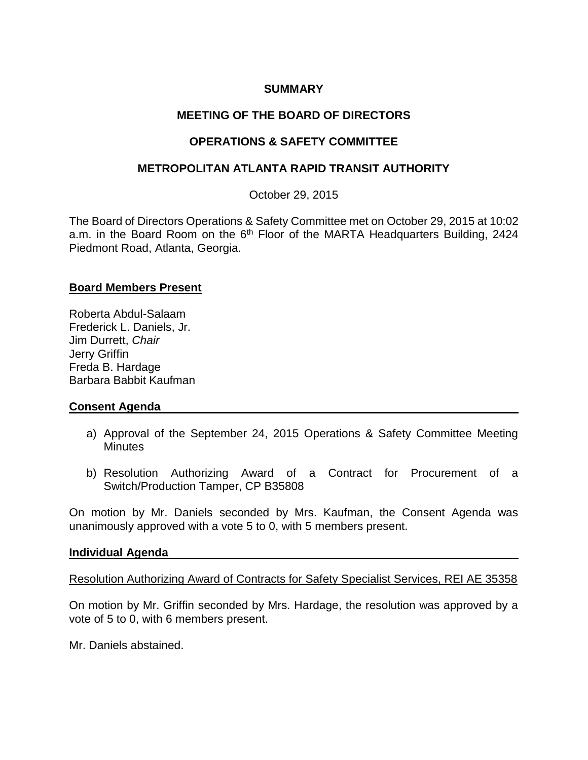## **SUMMARY**

# **MEETING OF THE BOARD OF DIRECTORS**

# **OPERATIONS & SAFETY COMMITTEE**

## **METROPOLITAN ATLANTA RAPID TRANSIT AUTHORITY**

October 29, 2015

The Board of Directors Operations & Safety Committee met on October 29, 2015 at 10:02 a.m. in the Board Room on the 6<sup>th</sup> Floor of the MARTA Headquarters Building, 2424 Piedmont Road, Atlanta, Georgia.

### **Board Members Present**

Roberta Abdul-Salaam Frederick L. Daniels, Jr. Jim Durrett, *Chair*  Jerry Griffin Freda B. Hardage Barbara Babbit Kaufman

## **Consent Agenda**

- a) Approval of the September 24, 2015 Operations & Safety Committee Meeting **Minutes**
- b) Resolution Authorizing Award of a Contract for Procurement of a Switch/Production Tamper, CP B35808

On motion by Mr. Daniels seconded by Mrs. Kaufman, the Consent Agenda was unanimously approved with a vote 5 to 0, with 5 members present.

#### **Individual Agenda**

Resolution Authorizing Award of Contracts for Safety Specialist Services, REI AE 35358

On motion by Mr. Griffin seconded by Mrs. Hardage, the resolution was approved by a vote of 5 to 0, with 6 members present.

Mr. Daniels abstained.